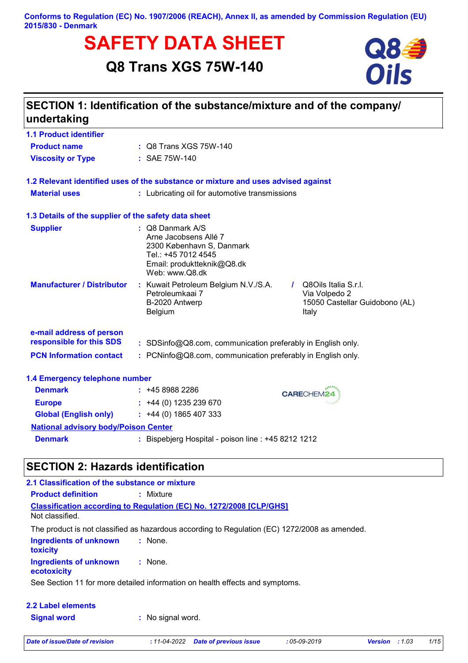# **SAFETY DATA SHEET**<br>
Q8 Trans XGS 75W-140<br>
Oils

# **Q8 Trans XGS 75W-140**



| undertaking                                          | SECTION 1: Identification of the substance/mixture and of the company/                                                                                   |                                                                                  |
|------------------------------------------------------|----------------------------------------------------------------------------------------------------------------------------------------------------------|----------------------------------------------------------------------------------|
| <b>1.1 Product identifier</b>                        |                                                                                                                                                          |                                                                                  |
| <b>Product name</b>                                  | : Q8 Trans XGS 75W-140                                                                                                                                   |                                                                                  |
| <b>Viscosity or Type</b>                             | : SAE 75W-140                                                                                                                                            |                                                                                  |
|                                                      | 1.2 Relevant identified uses of the substance or mixture and uses advised against                                                                        |                                                                                  |
| <b>Material uses</b>                                 | : Lubricating oil for automotive transmissions                                                                                                           |                                                                                  |
| 1.3 Details of the supplier of the safety data sheet |                                                                                                                                                          |                                                                                  |
| <b>Supplier</b>                                      | $\therefore$ Q8 Danmark A/S<br>Arne Jacobsens Allé 7<br>2300 København S, Danmark<br>Tel.: +45 7012 4545<br>Email: produktteknik@Q8.dk<br>Web: www.Q8.dk |                                                                                  |
| <b>Manufacturer / Distributor</b>                    | : Kuwait Petroleum Belgium N.V./S.A.<br>Petroleumkaai 7<br>B-2020 Antwerp<br>Belgium                                                                     | Q8Oils Italia S.r.l.<br>Via Volpedo 2<br>15050 Castellar Guidobono (AL)<br>Italy |
| e-mail address of person                             |                                                                                                                                                          |                                                                                  |
| responsible for this SDS                             | : SDSinfo@Q8.com, communication preferably in English only.                                                                                              |                                                                                  |
| <b>PCN Information contact</b>                       | : PCNinfo@Q8.com, communication preferably in English only.                                                                                              |                                                                                  |
| 1.4 Emergency telephone number                       |                                                                                                                                                          |                                                                                  |
| <b>Denmark</b>                                       | $: +4589882286$                                                                                                                                          | <b>CARECHEM24</b>                                                                |
| <b>Europe</b>                                        | $: +44(0)$ 1235 239 670                                                                                                                                  |                                                                                  |
| <b>Global (English only)</b>                         | $: +44(0)1865407333$                                                                                                                                     |                                                                                  |
| <b>National advisory body/Poison Center</b>          |                                                                                                                                                          |                                                                                  |
| <b>Denmark</b>                                       | : Bispebjerg Hospital - poison line : +45 8212 1212                                                                                                      |                                                                                  |

## **SECTION 2: Hazards identification**

| 2.1 Classification of the substance or mixture   |                                                                                               |
|--------------------------------------------------|-----------------------------------------------------------------------------------------------|
| <b>Product definition</b>                        | : Mixture                                                                                     |
| Not classified.                                  | <b>Classification according to Regulation (EC) No. 1272/2008 [CLP/GHS]</b>                    |
|                                                  | The product is not classified as hazardous according to Regulation (EC) 1272/2008 as amended. |
| <b>Ingredients of unknown</b><br><b>toxicity</b> | $:$ None.                                                                                     |
| <b>Ingredients of unknown</b><br>ecotoxicity     | : None.                                                                                       |
|                                                  | See Section 11 for more detailed information on health effects and symptoms.                  |
| 2.2 Label elements                               |                                                                                               |
| <b>Signal word</b>                               | : No signal word.                                                                             |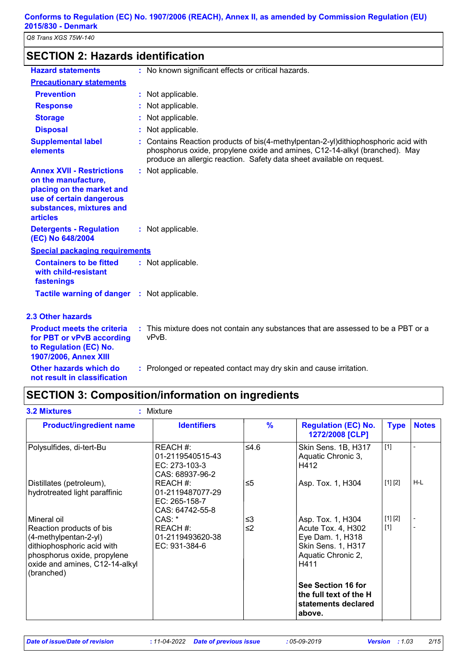| <b>SECTION 2: Hazards identification</b>                                                                                                                        |    |                                                                                                                                                                                                                                         |
|-----------------------------------------------------------------------------------------------------------------------------------------------------------------|----|-----------------------------------------------------------------------------------------------------------------------------------------------------------------------------------------------------------------------------------------|
| <b>Hazard statements</b>                                                                                                                                        |    | : No known significant effects or critical hazards.                                                                                                                                                                                     |
| <b>Precautionary statements</b>                                                                                                                                 |    |                                                                                                                                                                                                                                         |
| <b>Prevention</b>                                                                                                                                               |    | : Not applicable.                                                                                                                                                                                                                       |
| <b>Response</b>                                                                                                                                                 |    | Not applicable.                                                                                                                                                                                                                         |
| <b>Storage</b>                                                                                                                                                  |    | Not applicable.                                                                                                                                                                                                                         |
| <b>Disposal</b>                                                                                                                                                 |    | Not applicable.                                                                                                                                                                                                                         |
| <b>Supplemental label</b><br>elements                                                                                                                           |    | Contains Reaction products of bis(4-methylpentan-2-yl)dithiophosphoric acid with<br>phosphorus oxide, propylene oxide and amines, C12-14-alkyl (branched). May<br>produce an allergic reaction. Safety data sheet available on request. |
| <b>Annex XVII - Restrictions</b><br>on the manufacture,<br>placing on the market and<br>use of certain dangerous<br>substances, mixtures and<br><b>articles</b> | t. | Not applicable.                                                                                                                                                                                                                         |
| <b>Detergents - Regulation</b><br>(EC) No 648/2004                                                                                                              |    | : Not applicable.                                                                                                                                                                                                                       |
| <b>Special packaging requirements</b>                                                                                                                           |    |                                                                                                                                                                                                                                         |
| <b>Containers to be fitted</b><br>with child-resistant<br>fastenings                                                                                            |    | : Not applicable.                                                                                                                                                                                                                       |
| Tactile warning of danger : Not applicable.                                                                                                                     |    |                                                                                                                                                                                                                                         |
| 2.3 Other hazards                                                                                                                                               |    |                                                                                                                                                                                                                                         |
| <b>Product meets the criteria</b><br>for PBT or vPvB according<br>to Regulation (EC) No.<br>1907/2006, Annex XIII                                               |    | : This mixture does not contain any substances that are assessed to be a PBT or a<br>vPvB.                                                                                                                                              |
| Other hazards which do<br>not result in classification                                                                                                          |    | : Prolonged or repeated contact may dry skin and cause irritation.                                                                                                                                                                      |

# **SECTION 3: Composition/information on ingredients**

| <b>3.2 Mixtures</b>                                                                                                                                                           | : Mixture                                                        |               |                                                                                                                 |                  |              |
|-------------------------------------------------------------------------------------------------------------------------------------------------------------------------------|------------------------------------------------------------------|---------------|-----------------------------------------------------------------------------------------------------------------|------------------|--------------|
| <b>Product/ingredient name</b>                                                                                                                                                | <b>Identifiers</b>                                               | $\frac{9}{6}$ | <b>Regulation (EC) No.</b><br>1272/2008 [CLP]                                                                   | <b>Type</b>      | <b>Notes</b> |
| Polysulfides, di-tert-Bu                                                                                                                                                      | REACH #:<br>01-2119540515-43<br>EC: 273-103-3<br>CAS: 68937-96-2 | 5.4≥          | Skin Sens. 1B, H317<br>Aquatic Chronic 3,<br>H412                                                               | $[1]$            |              |
| Distillates (petroleum),<br>hydrotreated light paraffinic                                                                                                                     | REACH #:<br>01-2119487077-29<br>EC: 265-158-7<br>CAS: 64742-55-8 | ≤5            | Asp. Tox. 1, H304                                                                                               | [1] [2]          | H-L          |
| Mineral oil<br>Reaction products of bis<br>(4-methylpentan-2-yl)<br>dithiophosphoric acid with<br>phosphorus oxide, propylene<br>oxide and amines, C12-14-alkyl<br>(branched) | CAS:<br>REACH #:<br>01-2119493620-38<br>EC: 931-384-6            | ≤3<br>≤2      | Asp. Tox. 1, H304<br>Acute Tox. 4, H302<br>Eye Dam. 1, H318<br>Skin Sens. 1, H317<br>Aquatic Chronic 2,<br>H411 | [1] [2]<br>$[1]$ |              |
|                                                                                                                                                                               |                                                                  |               | See Section 16 for<br>the full text of the H<br>statements declared<br>above.                                   |                  |              |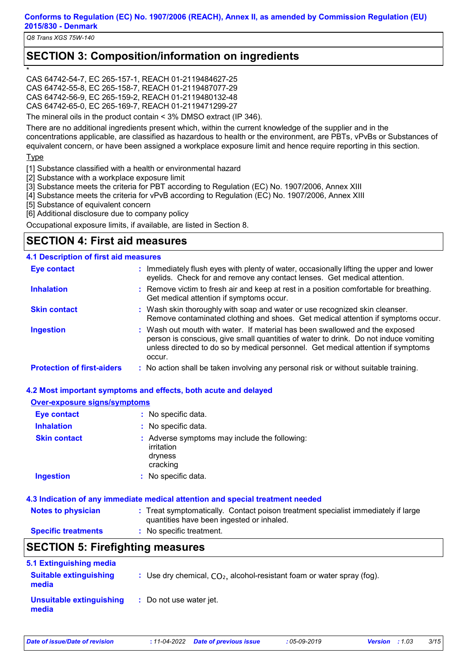*Q8 Trans XGS 75W-140*

## **SECTION 3: Composition/information on ingredients**

\*CAS 64742-54-7, EC 265-157-1, REACH 01-2119484627-25 CAS 64742-55-8, EC 265-158-7, REACH 01-2119487077-29 CAS 64742-56-9, EC 265-159-2, REACH 01-2119480132-48 CAS 64742-65-0, EC 265-169-7, REACH 01-2119471299-27

The mineral oils in the product contain < 3% DMSO extract (IP 346).

There are no additional ingredients present which, within the current knowledge of the supplier and in the concentrations applicable, are classified as hazardous to health or the environment, are PBTs, vPvBs or Substances of equivalent concern, or have been assigned a workplace exposure limit and hence require reporting in this section.

#### **Type**

[1] Substance classified with a health or environmental hazard

- [2] Substance with a workplace exposure limit
- [3] Substance meets the criteria for PBT according to Regulation (EC) No. 1907/2006, Annex XIII
- [4] Substance meets the criteria for vPvB according to Regulation (EC) No. 1907/2006, Annex XIII
- [5] Substance of equivalent concern
- [6] Additional disclosure due to company policy

Occupational exposure limits, if available, are listed in Section 8.

## **SECTION 4: First aid measures**

#### **4.1 Description of first aid measures**

| <b>Eye contact</b>                | : Immediately flush eyes with plenty of water, occasionally lifting the upper and lower<br>eyelids. Check for and remove any contact lenses. Get medical attention.                                                                                               |
|-----------------------------------|-------------------------------------------------------------------------------------------------------------------------------------------------------------------------------------------------------------------------------------------------------------------|
| <b>Inhalation</b>                 | : Remove victim to fresh air and keep at rest in a position comfortable for breathing.<br>Get medical attention if symptoms occur.                                                                                                                                |
| <b>Skin contact</b>               | : Wash skin thoroughly with soap and water or use recognized skin cleanser.<br>Remove contaminated clothing and shoes. Get medical attention if symptoms occur.                                                                                                   |
| <b>Ingestion</b>                  | : Wash out mouth with water. If material has been swallowed and the exposed<br>person is conscious, give small quantities of water to drink. Do not induce vomiting<br>unless directed to do so by medical personnel. Get medical attention if symptoms<br>occur. |
| <b>Protection of first-aiders</b> | : No action shall be taken involving any personal risk or without suitable training.                                                                                                                                                                              |

#### **4.2 Most important symptoms and effects, both acute and delayed**

#### **Over-exposure signs/symptoms**

| <b>Eye contact</b>  | : No specific data.                                                                |
|---------------------|------------------------------------------------------------------------------------|
| <b>Inhalation</b>   | : No specific data.                                                                |
| <b>Skin contact</b> | : Adverse symptoms may include the following:<br>irritation<br>dryness<br>cracking |
| <b>Ingestion</b>    | : No specific data.                                                                |

#### **4.3 Indication of any immediate medical attention and special treatment needed**

| <b>Notes to physician</b>  | : Treat symptomatically. Contact poison treatment specialist immediately if large<br>quantities have been ingested or inhaled. |
|----------------------------|--------------------------------------------------------------------------------------------------------------------------------|
| <b>Specific treatments</b> | : No specific treatment.                                                                                                       |

## **SECTION 5: Firefighting measures**

| 5.1 Extinguishing media                |                                                                          |
|----------------------------------------|--------------------------------------------------------------------------|
| <b>Suitable extinguishing</b><br>media | : Use dry chemical, $CO2$ , alcohol-resistant foam or water spray (fog). |
| Unsuitable extinguishing<br>media      | : Do not use water jet.                                                  |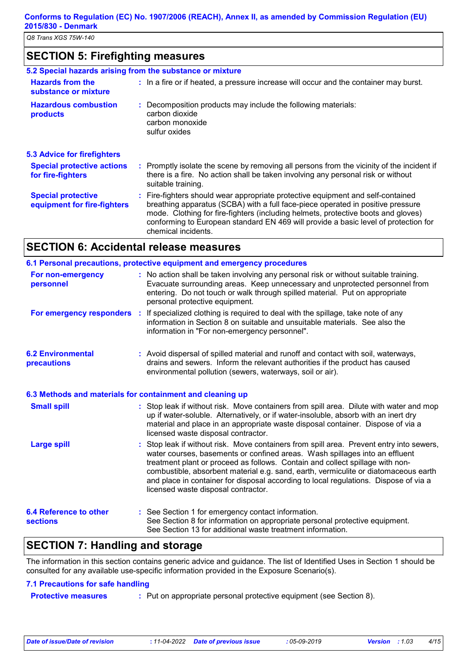## **SECTION 5: Firefighting measures**

|                                                          | 5.2 Special hazards arising from the substance or mixture                                                                                                                                                                                                                                                                                                             |
|----------------------------------------------------------|-----------------------------------------------------------------------------------------------------------------------------------------------------------------------------------------------------------------------------------------------------------------------------------------------------------------------------------------------------------------------|
| <b>Hazards from the</b><br>substance or mixture          | : In a fire or if heated, a pressure increase will occur and the container may burst.                                                                                                                                                                                                                                                                                 |
| <b>Hazardous combustion</b><br>products                  | : Decomposition products may include the following materials:<br>carbon dioxide<br>carbon monoxide<br>sulfur oxides                                                                                                                                                                                                                                                   |
| <b>5.3 Advice for firefighters</b>                       |                                                                                                                                                                                                                                                                                                                                                                       |
| <b>Special protective actions</b><br>for fire-fighters   | : Promptly isolate the scene by removing all persons from the vicinity of the incident if<br>there is a fire. No action shall be taken involving any personal risk or without<br>suitable training.                                                                                                                                                                   |
| <b>Special protective</b><br>equipment for fire-fighters | : Fire-fighters should wear appropriate protective equipment and self-contained<br>breathing apparatus (SCBA) with a full face-piece operated in positive pressure<br>mode. Clothing for fire-fighters (including helmets, protective boots and gloves)<br>conforming to European standard EN 469 will provide a basic level of protection for<br>chemical incidents. |

# **SECTION 6: Accidental release measures**

|                                                           | 6.1 Personal precautions, protective equipment and emergency procedures                                                                                                                                                                                                                                                                                                                                                                                                        |
|-----------------------------------------------------------|--------------------------------------------------------------------------------------------------------------------------------------------------------------------------------------------------------------------------------------------------------------------------------------------------------------------------------------------------------------------------------------------------------------------------------------------------------------------------------|
| For non-emergency<br>personnel                            | : No action shall be taken involving any personal risk or without suitable training.<br>Evacuate surrounding areas. Keep unnecessary and unprotected personnel from<br>entering. Do not touch or walk through spilled material. Put on appropriate<br>personal protective equipment.                                                                                                                                                                                           |
|                                                           | For emergency responders : If specialized clothing is required to deal with the spillage, take note of any<br>information in Section 8 on suitable and unsuitable materials. See also the<br>information in "For non-emergency personnel".                                                                                                                                                                                                                                     |
| <b>6.2 Environmental</b><br>precautions                   | : Avoid dispersal of spilled material and runoff and contact with soil, waterways,<br>drains and sewers. Inform the relevant authorities if the product has caused<br>environmental pollution (sewers, waterways, soil or air).                                                                                                                                                                                                                                                |
| 6.3 Methods and materials for containment and cleaning up |                                                                                                                                                                                                                                                                                                                                                                                                                                                                                |
| <b>Small spill</b>                                        | : Stop leak if without risk. Move containers from spill area. Dilute with water and mop<br>up if water-soluble. Alternatively, or if water-insoluble, absorb with an inert dry<br>material and place in an appropriate waste disposal container. Dispose of via a<br>licensed waste disposal contractor.                                                                                                                                                                       |
| <b>Large spill</b>                                        | : Stop leak if without risk. Move containers from spill area. Prevent entry into sewers,<br>water courses, basements or confined areas. Wash spillages into an effluent<br>treatment plant or proceed as follows. Contain and collect spillage with non-<br>combustible, absorbent material e.g. sand, earth, vermiculite or diatomaceous earth<br>and place in container for disposal according to local regulations. Dispose of via a<br>licensed waste disposal contractor. |
| <b>6.4 Reference to other</b><br><b>sections</b>          | : See Section 1 for emergency contact information.<br>See Section 8 for information on appropriate personal protective equipment.<br>See Section 13 for additional waste treatment information.                                                                                                                                                                                                                                                                                |

## **SECTION 7: Handling and storage**

The information in this section contains generic advice and guidance. The list of Identified Uses in Section 1 should be consulted for any available use-specific information provided in the Exposure Scenario(s).

#### **7.1 Precautions for safe handling**

**Protective measures :** Put on appropriate personal protective equipment (see Section 8).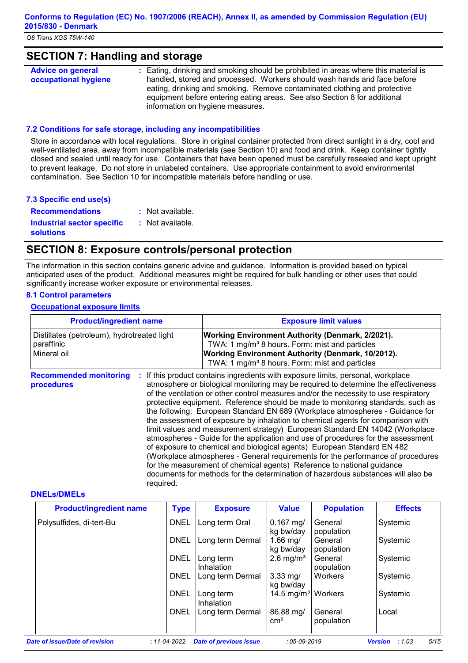## **SECTION 7: Handling and storage**

| <b>Advice on general</b> | : Eating, drinking and smoking should be prohibited in areas where this material is |
|--------------------------|-------------------------------------------------------------------------------------|
| occupational hygiene     | handled, stored and processed. Workers should wash hands and face before            |
|                          | eating, drinking and smoking. Remove contaminated clothing and protective           |
|                          | equipment before entering eating areas. See also Section 8 for additional           |
|                          | information on hygiene measures.                                                    |

#### **7.2 Conditions for safe storage, including any incompatibilities**

Store in accordance with local regulations. Store in original container protected from direct sunlight in a dry, cool and well-ventilated area, away from incompatible materials (see Section 10) and food and drink. Keep container tightly closed and sealed until ready for use. Containers that have been opened must be carefully resealed and kept upright to prevent leakage. Do not store in unlabeled containers. Use appropriate containment to avoid environmental contamination. See Section 10 for incompatible materials before handling or use.

#### **7.3 Specific end use(s)**

**Recommendations : Industrial sector specific : solutions** : Not available. : Not available.

## **SECTION 8: Exposure controls/personal protection**

The information in this section contains generic advice and guidance. Information is provided based on typical anticipated uses of the product. Additional measures might be required for bulk handling or other uses that could significantly increase worker exposure or environmental releases.

#### **8.1 Control parameters**

#### **Occupational exposure limits**

| <b>Product/ingredient name</b>                                           | <b>Exposure limit values</b>                                                                                                                                                                                                                                                                                                                                                                                                                                                                                                                                                                                                                                                                                                                                                                                                                                                                                                                                                                                        |
|--------------------------------------------------------------------------|---------------------------------------------------------------------------------------------------------------------------------------------------------------------------------------------------------------------------------------------------------------------------------------------------------------------------------------------------------------------------------------------------------------------------------------------------------------------------------------------------------------------------------------------------------------------------------------------------------------------------------------------------------------------------------------------------------------------------------------------------------------------------------------------------------------------------------------------------------------------------------------------------------------------------------------------------------------------------------------------------------------------|
| Distillates (petroleum), hydrotreated light<br>paraffinic<br>Mineral oil | <b>Working Environment Authority (Denmark, 2/2021).</b><br>TWA: 1 mg/m <sup>3</sup> 8 hours. Form: mist and particles<br>Working Environment Authority (Denmark, 10/2012).<br>TWA: 1 mg/m <sup>3</sup> 8 hours. Form: mist and particles                                                                                                                                                                                                                                                                                                                                                                                                                                                                                                                                                                                                                                                                                                                                                                            |
| <b>Recommended monitoring</b><br>procedures<br>required.                 | If this product contains ingredients with exposure limits, personal, workplace<br>atmosphere or biological monitoring may be required to determine the effectiveness<br>of the ventilation or other control measures and/or the necessity to use respiratory<br>protective equipment. Reference should be made to monitoring standards, such as<br>the following: European Standard EN 689 (Workplace atmospheres - Guidance for<br>the assessment of exposure by inhalation to chemical agents for comparison with<br>limit values and measurement strategy) European Standard EN 14042 (Workplace<br>atmospheres - Guide for the application and use of procedures for the assessment<br>of exposure to chemical and biological agents) European Standard EN 482<br>(Workplace atmospheres - General requirements for the performance of procedures<br>for the measurement of chemical agents) Reference to national guidance<br>documents for methods for the determination of hazardous substances will also be |

#### **DNELs/DMELs**

| <b>Product/ingredient name</b> | <b>Type</b> | <b>Exposure</b>         | <b>Value</b>                   | <b>Population</b>     | <b>Effects</b> |
|--------------------------------|-------------|-------------------------|--------------------------------|-----------------------|----------------|
| Polysulfides, di-tert-Bu       | <b>DNEL</b> | Long term Oral          | $0.167$ mg/<br>kg bw/day       | General<br>population | Systemic       |
|                                | <b>DNEL</b> | Long term Dermal        | $1.66$ mg/<br>kg bw/day        | General<br>population | Systemic       |
|                                | <b>DNEL</b> | Long term<br>Inhalation | $2.6$ mg/m <sup>3</sup>        | General<br>population | Systemic       |
|                                | <b>DNEL</b> | Long term Dermal        | $3.33$ mg/<br>kg bw/day        | Workers               | Systemic       |
|                                | <b>DNEL</b> | Long term<br>Inhalation | 14.5 mg/m <sup>3</sup> Workers |                       | Systemic       |
|                                | <b>DNEL</b> | Long term Dermal        | 86.88 mg/<br>$\rm cm^2$        | General<br>population | Local          |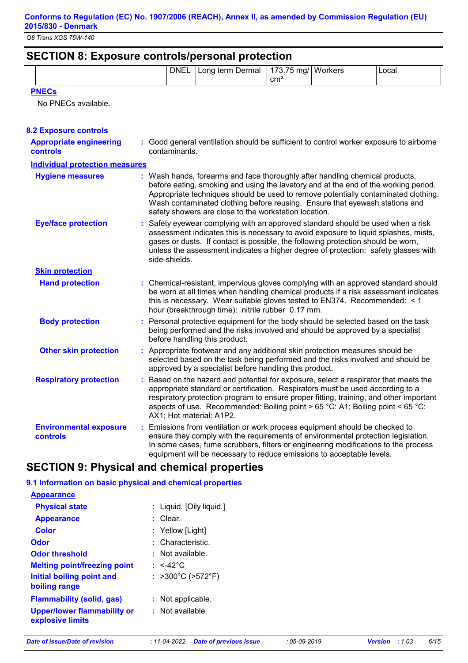| <b>SECTION 8: Exposure controls/personal protection</b> |                                                |                 |       |
|---------------------------------------------------------|------------------------------------------------|-----------------|-------|
|                                                         | DNEL   Long term Dermal   173.75 mg/   Workers | cm <sup>2</sup> | Local |
|                                                         |                                                |                 |       |

**PNECs**

No PNECs available.

| <b>8.2 Exposure controls</b>                      |                                                                                                                                                                                                                                                                                                                                                                                                   |
|---------------------------------------------------|---------------------------------------------------------------------------------------------------------------------------------------------------------------------------------------------------------------------------------------------------------------------------------------------------------------------------------------------------------------------------------------------------|
| <b>Appropriate engineering</b><br><b>controls</b> | : Good general ventilation should be sufficient to control worker exposure to airborne<br>contaminants.                                                                                                                                                                                                                                                                                           |
| <b>Individual protection measures</b>             |                                                                                                                                                                                                                                                                                                                                                                                                   |
| <b>Hygiene measures</b>                           | : Wash hands, forearms and face thoroughly after handling chemical products,<br>before eating, smoking and using the lavatory and at the end of the working period.<br>Appropriate techniques should be used to remove potentially contaminated clothing.<br>Wash contaminated clothing before reusing. Ensure that eyewash stations and<br>safety showers are close to the workstation location. |
| <b>Eye/face protection</b>                        | : Safety eyewear complying with an approved standard should be used when a risk<br>assessment indicates this is necessary to avoid exposure to liquid splashes, mists,<br>gases or dusts. If contact is possible, the following protection should be worn,<br>unless the assessment indicates a higher degree of protection: safety glasses with<br>side-shields.                                 |
| <b>Skin protection</b>                            |                                                                                                                                                                                                                                                                                                                                                                                                   |
| <b>Hand protection</b>                            | : Chemical-resistant, impervious gloves complying with an approved standard should<br>be worn at all times when handling chemical products if a risk assessment indicates<br>this is necessary. Wear suitable gloves tested to EN374. Recommended: < 1<br>hour (breakthrough time): nitrile rubber 0.17 mm.                                                                                       |
| <b>Body protection</b>                            | : Personal protective equipment for the body should be selected based on the task<br>being performed and the risks involved and should be approved by a specialist<br>before handling this product.                                                                                                                                                                                               |
| <b>Other skin protection</b>                      | : Appropriate footwear and any additional skin protection measures should be<br>selected based on the task being performed and the risks involved and should be<br>approved by a specialist before handling this product.                                                                                                                                                                         |
| <b>Respiratory protection</b>                     | : Based on the hazard and potential for exposure, select a respirator that meets the<br>appropriate standard or certification. Respirators must be used according to a<br>respiratory protection program to ensure proper fitting, training, and other important<br>aspects of use. Recommended: Boiling point > 65 °C: A1; Boiling point < 65 °C:<br>AX1; Hot material: A1P2.                    |
| <b>Environmental exposure</b><br>controls         | : Emissions from ventilation or work process equipment should be checked to<br>ensure they comply with the requirements of environmental protection legislation.<br>In some cases, fume scrubbers, filters or engineering modifications to the process<br>equipment will be necessary to reduce emissions to acceptable levels.                                                                   |

## **SECTION 9: Physical and chemical properties**

#### **9.1 Information on basic physical and chemical properties**

| <b>Appearance</b>                                      |                          |
|--------------------------------------------------------|--------------------------|
| <b>Physical state</b>                                  | : Liquid. [Oily liquid.] |
| <b>Appearance</b>                                      | : Clear.                 |
| Color                                                  | : Yellow [Light]         |
| Odor                                                   | : Characteristic.        |
| <b>Odor threshold</b>                                  | Not available.           |
| <b>Melting point/freezing point</b>                    | : $<$ 42°C               |
| Initial boiling point and<br>boiling range             | : >300°C (>572°F)        |
| <b>Flammability (solid, gas)</b>                       | : Not applicable.        |
| <b>Upper/lower flammability or</b><br>explosive limits | $:$ Not available.       |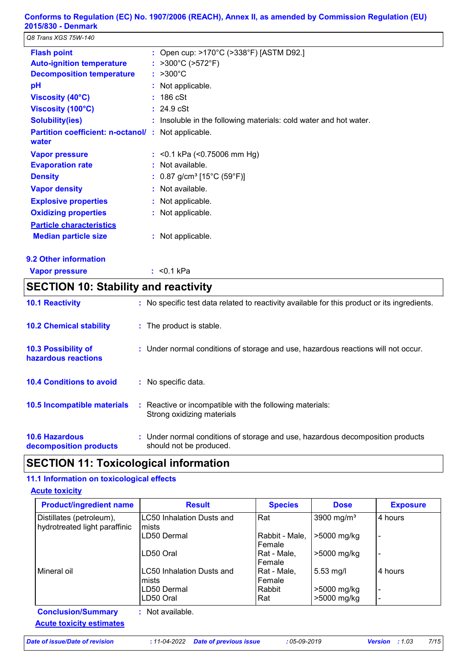*Q8 Trans XGS 75W-140*

| <b>Flash point</b>                                                 |    | : Open cup: >170°C (>338°F) [ASTM D92.]                             |
|--------------------------------------------------------------------|----|---------------------------------------------------------------------|
| <b>Auto-ignition temperature</b>                                   | ÷. | >300°C (>572°F)                                                     |
| <b>Decomposition temperature</b>                                   |    | $: >300^{\circ}$ C                                                  |
| рH                                                                 |    | : Not applicable.                                                   |
| Viscosity (40°C)                                                   |    | $: 186 \text{ cSt}$                                                 |
| Viscosity (100°C)                                                  |    | $: 24.9 \text{ cSt}$                                                |
| <b>Solubility(ies)</b>                                             |    | $:$ Insoluble in the following materials: cold water and hot water. |
| <b>Partition coefficient: n-octanol/: Not applicable.</b><br>water |    |                                                                     |
| <b>Vapor pressure</b>                                              |    | : $<$ 0.1 kPa ( $<$ 0.75006 mm Hg)                                  |
| <b>Evaporation rate</b>                                            |    | : Not available.                                                    |
| <b>Density</b>                                                     |    | : $0.87$ g/cm <sup>3</sup> [15°C (59°F)]                            |
| <b>Vapor density</b>                                               |    | $:$ Not available.                                                  |
| <b>Explosive properties</b>                                        |    | : Not applicable.                                                   |
| <b>Oxidizing properties</b>                                        |    | : Not applicable.                                                   |
| <b>Particle characteristics</b>                                    |    |                                                                     |
| <b>Median particle size</b>                                        |    | : Not applicable.                                                   |
|                                                                    |    |                                                                     |

- **9.2 Other information**
- **Vapor pressure**

<0.1 kPa **:**

## **SECTION 10: Stability and reactivity**

| <b>10.1 Reactivity</b>                            |    | : No specific test data related to reactivity available for this product or its ingredients.              |
|---------------------------------------------------|----|-----------------------------------------------------------------------------------------------------------|
| <b>10.2 Chemical stability</b>                    |    | : The product is stable.                                                                                  |
| <b>10.3 Possibility of</b><br>hazardous reactions |    | : Under normal conditions of storage and use, hazardous reactions will not occur.                         |
| <b>10.4 Conditions to avoid</b>                   |    | : No specific data.                                                                                       |
| 10.5 Incompatible materials                       | ÷. | Reactive or incompatible with the following materials:<br>Strong oxidizing materials                      |
| <b>10.6 Hazardous</b><br>decomposition products   |    | : Under normal conditions of storage and use, hazardous decomposition products<br>should not be produced. |

## **SECTION 11: Toxicological information**

#### **11.1 Information on toxicological effects**

#### **Acute toxicity**

| <b>Product/ingredient name</b>                            | <b>Result</b>                             | <b>Species</b>           | <b>Dose</b>                | <b>Exposure</b>          |
|-----------------------------------------------------------|-------------------------------------------|--------------------------|----------------------------|--------------------------|
| Distillates (petroleum),<br>hydrotreated light paraffinic | LC50 Inhalation Dusts and<br>Imists       | Rat                      | 3900 mg/m <sup>3</sup>     | 4 hours                  |
|                                                           | LD50 Dermal                               | Rabbit - Male,<br>Female | >5000 mg/kg                | $\overline{\phantom{a}}$ |
|                                                           | LD50 Oral                                 | Rat - Male,<br>Female    | >5000 mg/kg                | $\overline{\phantom{a}}$ |
| Mineral oil                                               | <b>LC50 Inhalation Dusts and</b><br>mists | Rat - Male,<br>Female    | $5.53$ mg/l                | l 4 hours                |
|                                                           | LD50 Dermal<br>LD50 Oral                  | Rabbit<br>Rat            | >5000 mg/kg<br>>5000 mg/kg |                          |
| <b>Conclusion/Summary</b>                                 | : Not available.                          |                          |                            |                          |
| <b>Acute toxicity estimates</b>                           |                                           |                          |                            |                          |

*Date of issue/Date of revision* **:** *11-04-2022 Date of previous issue : 05-09-2019 Version : 1.03 7/15*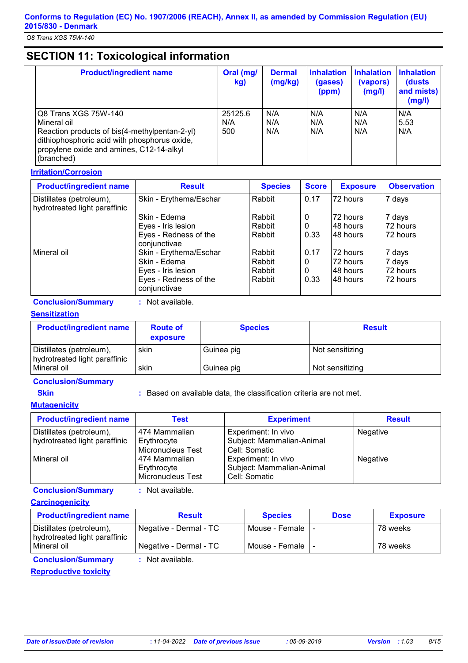# **SECTION 11: Toxicological information**

| <b>Product/ingredient name</b>                                                                                                                                                                 | Oral (mg/<br>kg)      | <b>Dermal</b><br>(mg/kg) | <b>Inhalation</b><br>(gases)<br>(ppm) | <b>Inhalation</b><br>(vapors)<br>(mg/l) | <b>Inhalation</b><br>(dusts<br>and mists)<br>(mg/l) |
|------------------------------------------------------------------------------------------------------------------------------------------------------------------------------------------------|-----------------------|--------------------------|---------------------------------------|-----------------------------------------|-----------------------------------------------------|
| Q8 Trans XGS 75W-140<br>Mineral oil<br>Reaction products of bis(4-methylpentan-2-yl)<br>dithiophosphoric acid with phosphorus oxide,<br>propylene oxide and amines, C12-14-alkyl<br>(branched) | 25125.6<br>N/A<br>500 | N/A<br>N/A<br>N/A        | N/A<br>N/A<br>N/A                     | N/A<br>N/A<br>N/A                       | N/A<br>5.53<br>N/A                                  |

#### **Irritation/Corrosion**

| <b>Product/ingredient name</b>                            | <b>Result</b>                         | <b>Species</b> | <b>Score</b> | <b>Exposure</b> | <b>Observation</b> |
|-----------------------------------------------------------|---------------------------------------|----------------|--------------|-----------------|--------------------|
| Distillates (petroleum),<br>hydrotreated light paraffinic | Skin - Erythema/Eschar                | Rabbit         | 0.17         | 72 hours        | 7 days             |
|                                                           | Skin - Edema                          | Rabbit         | 0            | 72 hours        | 7 days             |
|                                                           | Eyes - Iris lesion                    | Rabbit         | 0            | 148 hours       | 72 hours           |
|                                                           | Eyes - Redness of the<br>conjunctivae | Rabbit         | 0.33         | 148 hours       | 72 hours           |
| Mineral oil                                               | Skin - Erythema/Eschar                | Rabbit         | 0.17         | 72 hours        | 7 days             |
|                                                           | Skin - Edema                          | Rabbit         | 0            | 72 hours        | 7 days             |
|                                                           | Eyes - Iris lesion                    | Rabbit         | 0            | 148 hours       | 72 hours           |
|                                                           | Eyes - Redness of the<br>conjunctivae | Rabbit         | 0.33         | 148 hours       | 72 hours           |

**Conclusion/Summary :** Not available.

#### **Sensitization**

| <b>Product/ingredient name</b>                            | <b>Route of</b><br>exposure | <b>Species</b> | <b>Result</b>   |
|-----------------------------------------------------------|-----------------------------|----------------|-----------------|
| Distillates (petroleum),<br>hydrotreated light paraffinic | skin                        | Guinea pig     | Not sensitizing |
| Mineral oil                                               | skin                        | Guinea pig     | Not sensitizing |

#### **Conclusion/Summary**

**Skin EXALCE 10. Based on available data, the classification criteria are not met.** 

#### **Mutagenicity**

| <b>Product/ingredient name</b>                            | Test                                              | <b>Experiment</b>                                                 | <b>Result</b> |
|-----------------------------------------------------------|---------------------------------------------------|-------------------------------------------------------------------|---------------|
| Distillates (petroleum),<br>hydrotreated light paraffinic | 474 Mammalian<br>Erythrocyte<br>Micronucleus Test | Experiment: In vivo<br>Subject: Mammalian-Animal<br>Cell: Somatic | Negative      |
| l Mineral oil                                             | 474 Mammalian<br>Erythrocyte<br>Micronucleus Test | Experiment: In vivo<br>Subject: Mammalian-Animal<br>Cell: Somatic | Negative      |

#### **Conclusion/Summary :** Not available.

| <b>Carcinogenicity</b> |
|------------------------|
|------------------------|

| <b>Product/ingredient name</b>                            | <b>Result</b>          | <b>Species</b>     | <b>Dose</b> | <b>Exposure</b> |
|-----------------------------------------------------------|------------------------|--------------------|-------------|-----------------|
| Distillates (petroleum),<br>hydrotreated light paraffinic | Negative - Dermal - TC | Mouse - Female I - |             | 78 weeks        |
| Mineral oil                                               | Negative - Dermal - TC | Mouse - Female     |             | 78 weeks        |
| <b>Conclusion/Summary</b>                                 | : Not available.       |                    |             |                 |

**Reproductive toxicity**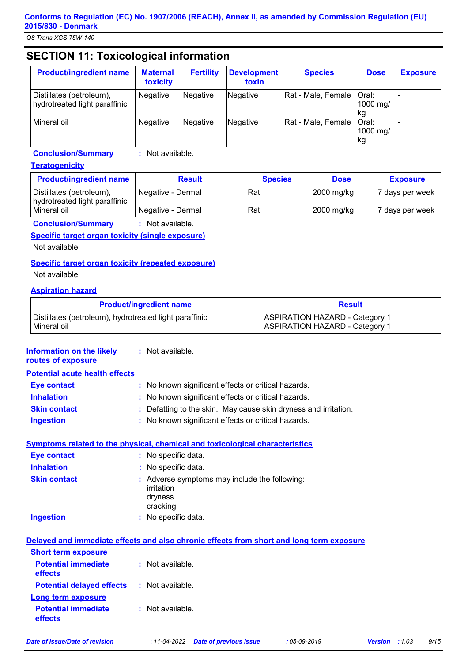*Q8 Trans XGS 75W-140*

# **SECTION 11: Toxicological information**

| <b>Product/ingredient name</b>                            | <b>Maternal</b><br>toxicity | <b>Fertility</b> | <b>Development</b><br>toxin | <b>Species</b>     | <b>Dose</b>             | <b>Exposure</b> |
|-----------------------------------------------------------|-----------------------------|------------------|-----------------------------|--------------------|-------------------------|-----------------|
| Distillates (petroleum),<br>hydrotreated light paraffinic | Negative                    | <b>Negative</b>  | Negative                    | Rat - Male, Female | Oral:<br>1000 mg/<br>kg |                 |
| l Mineral oil                                             | <b>Negative</b>             | <b>Negative</b>  | <b>Negative</b>             | Rat - Male, Female | Oral:<br>1000 mg/<br>kg |                 |

**Conclusion/Summary :** Not available.

#### **Teratogenicity**

| <b>Product/ingredient name</b>                            | <b>Result</b>     | <b>Species</b> | <b>Dose</b> | <b>Exposure</b> |
|-----------------------------------------------------------|-------------------|----------------|-------------|-----------------|
| Distillates (petroleum),<br>hydrotreated light paraffinic | Negative - Dermal | Rat            | 2000 mg/kg  | 7 days per week |
| Mineral oil                                               | Negative - Dermal | Rat            | 2000 mg/kg  | 7 days per week |

**Conclusion/Summary :** Not available.

#### **Specific target organ toxicity (single exposure)**

Not available.

#### **Specific target organ toxicity (repeated exposure)**

Not available.

#### **Aspiration hazard**

| <b>Product/ingredient name</b>                         | <b>Result</b>                         |
|--------------------------------------------------------|---------------------------------------|
| Distillates (petroleum), hydrotreated light paraffinic | <b>ASPIRATION HAZARD - Category 1</b> |
| l Mineral oil                                          | <b>ASPIRATION HAZARD - Category 1</b> |

| <b>Information on the likely</b><br>routes of exposure | : Not available.                                                                         |
|--------------------------------------------------------|------------------------------------------------------------------------------------------|
| <b>Potential acute health effects</b>                  |                                                                                          |
| <b>Eye contact</b>                                     | : No known significant effects or critical hazards.                                      |
| <b>Inhalation</b>                                      | : No known significant effects or critical hazards.                                      |
| <b>Skin contact</b>                                    | Defatting to the skin. May cause skin dryness and irritation.                            |
| <b>Ingestion</b>                                       | : No known significant effects or critical hazards.                                      |
|                                                        | Symptoms related to the physical, chemical and toxicological characteristics             |
| <b>Eye contact</b>                                     | : No specific data.                                                                      |
| <b>Inhalation</b>                                      | : No specific data.                                                                      |
| <b>Skin contact</b>                                    | : Adverse symptoms may include the following:<br>irritation<br>dryness<br>cracking       |
| <b>Ingestion</b>                                       | : No specific data.                                                                      |
|                                                        | Delayed and immediate effects and also chronic effects from short and long term exposure |
| <b>Short term exposure</b>                             |                                                                                          |
| <b>Potential immediate</b><br>effects                  | : Not available.                                                                         |
| <b>Potential delayed effects</b>                       | : Not available.                                                                         |
| <b>Long term exposure</b>                              |                                                                                          |
| <b>Potential immediate</b><br>effects                  | $:$ Not available.                                                                       |
|                                                        |                                                                                          |

*Date of issue/Date of revision* **:** *11-04-2022 Date of previous issue : 05-09-2019 Version : 1.03 9/15*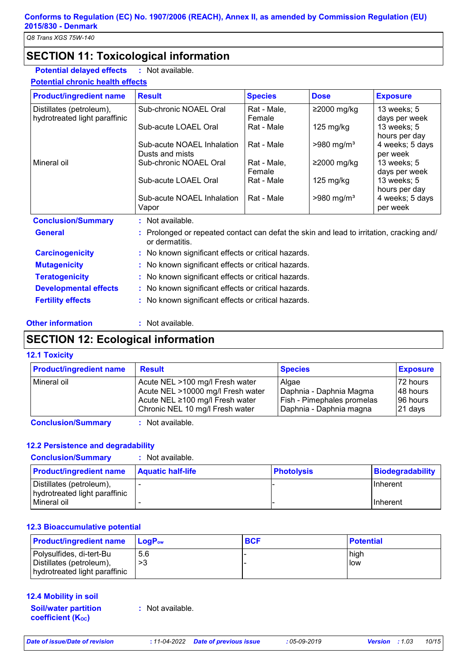## **SECTION 11: Toxicological information**

**Potential delayed effects :** : Not available.

**Potential chronic health effects**

| <b>Product/ingredient name</b> | <b>Result</b>                                                                                              | <b>Species</b> | <b>Dose</b>              | <b>Exposure</b>                  |
|--------------------------------|------------------------------------------------------------------------------------------------------------|----------------|--------------------------|----------------------------------|
| Distillates (petroleum),       | Sub-chronic NOAEL Oral                                                                                     | Rat - Male,    | ≥2000 mg/kg              | 13 weeks; 5                      |
| hydrotreated light paraffinic  |                                                                                                            | Female         |                          | days per week                    |
|                                | Sub-acute LOAEL Oral                                                                                       | Rat - Male     | $125 \text{ mg/kg}$      | 13 weeks; 5                      |
|                                | Sub-acute NOAEL Inhalation                                                                                 | Rat - Male     | $>980$ mg/m <sup>3</sup> | hours per day<br>4 weeks; 5 days |
|                                | Dusts and mists                                                                                            |                |                          | per week                         |
| Mineral oil                    | Sub-chronic NOAEL Oral                                                                                     | Rat - Male,    | $≥2000$ mg/kg            | 13 weeks; 5                      |
|                                |                                                                                                            | Female         |                          | days per week                    |
|                                | Sub-acute LOAEL Oral                                                                                       | Rat - Male     | 125 mg/kg                | 13 weeks; 5                      |
|                                |                                                                                                            |                |                          | hours per day                    |
|                                | Sub-acute NOAEL Inhalation                                                                                 | Rat - Male     | $>980$ mg/m <sup>3</sup> | 4 weeks; 5 days                  |
|                                | Vapor                                                                                                      |                |                          | per week                         |
| <b>Conclusion/Summary</b>      | : Not available.                                                                                           |                |                          |                                  |
| <b>General</b>                 | : Prolonged or repeated contact can defat the skin and lead to irritation, cracking and/<br>or dermatitis. |                |                          |                                  |
| <b>Carcinogenicity</b>         | : No known significant effects or critical hazards.                                                        |                |                          |                                  |
| <b>Mutagenicity</b>            | : No known significant effects or critical hazards.                                                        |                |                          |                                  |
| <b>Teratogenicity</b>          | : No known significant effects or critical hazards.                                                        |                |                          |                                  |
| <b>Developmental effects</b>   | : No known significant effects or critical hazards.                                                        |                |                          |                                  |
| <b>Fertility effects</b>       | : No known significant effects or critical hazards.                                                        |                |                          |                                  |

#### **Other information :**

: Not available.

## **SECTION 12: Ecological information**

#### **12.1 Toxicity**

| <b>Product/ingredient name</b>                                                                                                                                                                                                     | <b>Result</b>                                                                                                                              | <b>Species</b>                                                                            | <b>Exposure</b>                               |
|------------------------------------------------------------------------------------------------------------------------------------------------------------------------------------------------------------------------------------|--------------------------------------------------------------------------------------------------------------------------------------------|-------------------------------------------------------------------------------------------|-----------------------------------------------|
| Mineral oil                                                                                                                                                                                                                        | Acute NEL >100 mg/l Fresh water<br>Acute NEL >10000 mg/l Fresh water<br>Acute NEL ≥100 mg/l Fresh water<br>Chronic NEL 10 mg/l Fresh water | Algae<br>Daphnia - Daphnia Magma<br>Fish - Pimephales promelas<br>Daphnia - Daphnia magna | 72 hours<br>148 hours<br>196 hours<br>21 days |
| $\bullet$ if a strong and the strong strong and the strong strong strong and strong strong strong strong strong strong strong strong strong strong strong strong strong strong strong strong strong strong strong strong strong st |                                                                                                                                            |                                                                                           |                                               |

**Conclusion/Summary :** Not available.

#### **12.2 Persistence and degradability**

| <b>Conclusion/Summary</b><br>Not available.               |                          |                   |                  |
|-----------------------------------------------------------|--------------------------|-------------------|------------------|
| <b>Product/ingredient name</b>                            | <b>Aquatic half-life</b> | <b>Photolysis</b> | Biodegradability |
| Distillates (petroleum),<br>hydrotreated light paraffinic |                          |                   | <b>IInherent</b> |
| Mineral oil                                               |                          |                   | <b>IInherent</b> |

#### **12.3 Bioaccumulative potential**

| <b>Product/ingredient name</b>                                                        | <b>LogP</b> <sub>ow</sub> | <b>BCF</b> | <b>Potential</b> |
|---------------------------------------------------------------------------------------|---------------------------|------------|------------------|
| Polysulfides, di-tert-Bu<br>Distillates (petroleum),<br>hydrotreated light paraffinic | 5.6<br>>3                 |            | high<br>low      |

#### **12.4 Mobility in soil**

**Soil/water partition coefficient (Koc)** 

**:** Not available.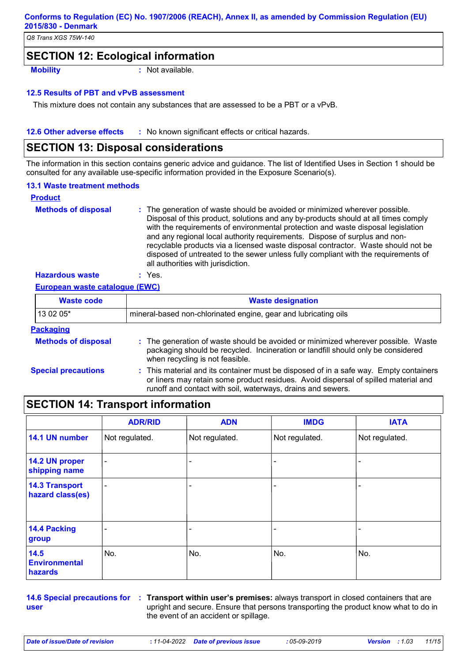*Q8 Trans XGS 75W-140*

## **SECTION 12: Ecological information**

**Mobility :** Not available.

#### **12.5 Results of PBT and vPvB assessment**

This mixture does not contain any substances that are assessed to be a PBT or a vPvB.

#### **12.6 Other adverse effects** : No known significant effects or critical hazards.

### **SECTION 13: Disposal considerations**

The information in this section contains generic advice and guidance. The list of Identified Uses in Section 1 should be consulted for any available use-specific information provided in the Exposure Scenario(s).

#### **13.1 Waste treatment methods**

| <b>Product</b>             |                                                                                                                                                                                                                                                                                                                                                                                                                                                                                                                                                      |
|----------------------------|------------------------------------------------------------------------------------------------------------------------------------------------------------------------------------------------------------------------------------------------------------------------------------------------------------------------------------------------------------------------------------------------------------------------------------------------------------------------------------------------------------------------------------------------------|
| <b>Methods of disposal</b> | : The generation of waste should be avoided or minimized wherever possible.<br>Disposal of this product, solutions and any by-products should at all times comply<br>with the requirements of environmental protection and waste disposal legislation<br>and any regional local authority requirements. Dispose of surplus and non-<br>recyclable products via a licensed waste disposal contractor. Waste should not be<br>disposed of untreated to the sewer unless fully compliant with the requirements of<br>all authorities with jurisdiction. |
| <b>Hazardous waste</b>     | Yes.                                                                                                                                                                                                                                                                                                                                                                                                                                                                                                                                                 |

#### **European waste catalogue (EWC)**

| <b>Waste code</b>          | <b>Waste designation</b>                                                                                                                                                                                                                    |  |  |
|----------------------------|---------------------------------------------------------------------------------------------------------------------------------------------------------------------------------------------------------------------------------------------|--|--|
| 13 02 05*                  | mineral-based non-chlorinated engine, gear and lubricating oils                                                                                                                                                                             |  |  |
| <b>Packaging</b>           |                                                                                                                                                                                                                                             |  |  |
| <b>Methods of disposal</b> | : The generation of waste should be avoided or minimized wherever possible. Waste<br>packaging should be recycled. Incineration or landfill should only be considered<br>when recycling is not feasible.                                    |  |  |
| <b>Special precautions</b> | : This material and its container must be disposed of in a safe way. Empty containers<br>or liners may retain some product residues. Avoid dispersal of spilled material and<br>runoff and contact with soil, waterways, drains and sewers. |  |  |

## **SECTION 14: Transport information**

|                                           | <b>ADR/RID</b> | <b>ADN</b>     | <b>IMDG</b>    | <b>IATA</b>    |
|-------------------------------------------|----------------|----------------|----------------|----------------|
| 14.1 UN number                            | Not regulated. | Not regulated. | Not regulated. | Not regulated. |
| 14.2 UN proper<br>shipping name           | $\blacksquare$ |                |                |                |
| <b>14.3 Transport</b><br>hazard class(es) | ۰              |                |                |                |
| 14.4 Packing<br>group                     |                |                |                |                |
| 14.5<br><b>Environmental</b><br>hazards   | No.            | No.            | No.            | No.            |

**user**

**14.6 Special precautions for Transport within user's premises:** always transport in closed containers that are **:** upright and secure. Ensure that persons transporting the product know what to do in the event of an accident or spillage.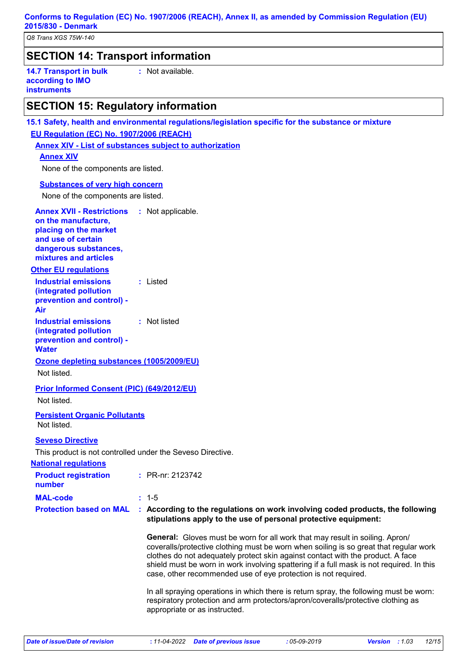*Q8 Trans XGS 75W-140*

## **SECTION 14: Transport information**

**14.7 Transport in bulk according to IMO instruments**

**:** Not available.

## **SECTION 15: Regulatory information**

**15.1 Safety, health and environmental regulations/legislation specific for the substance or mixture EU Regulation (EC) No. 1907/2006 (REACH)**

**Annex XIV - List of substances subject to authorization**

#### **Annex XIV**

None of the components are listed.

#### **Substances of very high concern**

None of the components are listed.

| <b>Annex XVII - Restrictions</b><br>on the manufacture,<br>placing on the market<br>and use of certain<br>dangerous substances,<br>mixtures and articles |                                                   | : Not applicable.                                                                                                                                                                                                                                                                                                                                                                                                             |  |  |
|----------------------------------------------------------------------------------------------------------------------------------------------------------|---------------------------------------------------|-------------------------------------------------------------------------------------------------------------------------------------------------------------------------------------------------------------------------------------------------------------------------------------------------------------------------------------------------------------------------------------------------------------------------------|--|--|
| <b>Other EU requlations</b>                                                                                                                              |                                                   |                                                                                                                                                                                                                                                                                                                                                                                                                               |  |  |
| <b>Industrial emissions</b><br>(integrated pollution<br>prevention and control) -<br>Air                                                                 |                                                   | : Listed                                                                                                                                                                                                                                                                                                                                                                                                                      |  |  |
| <b>Industrial emissions</b><br>(integrated pollution<br>prevention and control) -<br><b>Water</b>                                                        |                                                   | : Not listed                                                                                                                                                                                                                                                                                                                                                                                                                  |  |  |
| Not listed.                                                                                                                                              | Ozone depleting substances (1005/2009/EU)         |                                                                                                                                                                                                                                                                                                                                                                                                                               |  |  |
| Not listed.                                                                                                                                              | <b>Prior Informed Consent (PIC) (649/2012/EU)</b> |                                                                                                                                                                                                                                                                                                                                                                                                                               |  |  |
| <b>Persistent Organic Pollutants</b><br>Not listed.                                                                                                      |                                                   |                                                                                                                                                                                                                                                                                                                                                                                                                               |  |  |
| <b>Seveso Directive</b><br>This product is not controlled under the Seveso Directive.                                                                    |                                                   |                                                                                                                                                                                                                                                                                                                                                                                                                               |  |  |
| <b>National requlations</b><br><b>Product registration</b>                                                                                               |                                                   | : PR-nr: 2123742                                                                                                                                                                                                                                                                                                                                                                                                              |  |  |
| number                                                                                                                                                   |                                                   |                                                                                                                                                                                                                                                                                                                                                                                                                               |  |  |
| <b>MAL-code</b>                                                                                                                                          |                                                   | $: 1 - 5$                                                                                                                                                                                                                                                                                                                                                                                                                     |  |  |
| <b>Protection based on MAL</b>                                                                                                                           |                                                   | : According to the regulations on work involving coded products, the following<br>stipulations apply to the use of personal protective equipment:                                                                                                                                                                                                                                                                             |  |  |
|                                                                                                                                                          |                                                   | <b>General:</b> Gloves must be worn for all work that may result in soiling. Apron/<br>coveralls/protective clothing must be worn when soiling is so great that regular work<br>clothes do not adequately protect skin against contact with the product. A face<br>shield must be worn in work involving spattering if a full mask is not required. In this<br>case, other recommended use of eye protection is not required. |  |  |
|                                                                                                                                                          |                                                   | In all spraying operations in which there is return spray, the following must be worn:<br>respiratory protection and arm protectors/apron/coveralls/protective clothing as<br>appropriate or as instructed.                                                                                                                                                                                                                   |  |  |
|                                                                                                                                                          |                                                   |                                                                                                                                                                                                                                                                                                                                                                                                                               |  |  |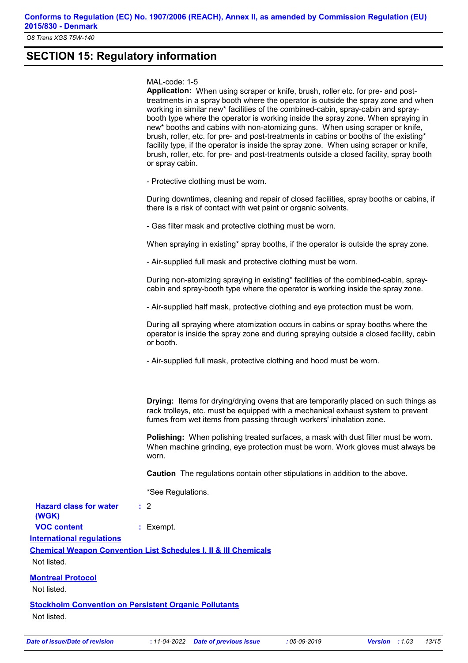*Q8 Trans XGS 75W-140*

## **SECTION 15: Regulatory information**

#### MAL-code: 1-5

**Application:** When using scraper or knife, brush, roller etc. for pre- and posttreatments in a spray booth where the operator is outside the spray zone and when working in similar new\* facilities of the combined-cabin, spray-cabin and spraybooth type where the operator is working inside the spray zone. When spraying in new\* booths and cabins with non-atomizing guns. When using scraper or knife, brush, roller, etc. for pre- and post-treatments in cabins or booths of the existing\* facility type, if the operator is inside the spray zone. When using scraper or knife, brush, roller, etc. for pre- and post-treatments outside a closed facility, spray booth or spray cabin.

- Protective clothing must be worn.

During downtimes, cleaning and repair of closed facilities, spray booths or cabins, if there is a risk of contact with wet paint or organic solvents.

- Gas filter mask and protective clothing must be worn.

When spraying in existing\* spray booths, if the operator is outside the spray zone.

- Air-supplied full mask and protective clothing must be worn.

During non-atomizing spraying in existing\* facilities of the combined-cabin, spraycabin and spray-booth type where the operator is working inside the spray zone.

- Air-supplied half mask, protective clothing and eye protection must be worn.

During all spraying where atomization occurs in cabins or spray booths where the operator is inside the spray zone and during spraying outside a closed facility, cabin or booth.

- Air-supplied full mask, protective clothing and hood must be worn.

**Drying:** Items for drying/drying ovens that are temporarily placed on such things as rack trolleys, etc. must be equipped with a mechanical exhaust system to prevent fumes from wet items from passing through workers' inhalation zone.

**Polishing:** When polishing treated surfaces, a mask with dust filter must be worn. When machine grinding, eye protection must be worn. Work gloves must always be worn.

**Caution** The regulations contain other stipulations in addition to the above.

\*See Regulations.

**International regulations Chemical Weapon Convention List Schedules I, II & III Chemicals Hazard class for water (WGK) :** 2 **VOC content :** Exempt.

Not listed.

#### **Montreal Protocol**

Not listed.

**Stockholm Convention on Persistent Organic Pollutants** Not listed.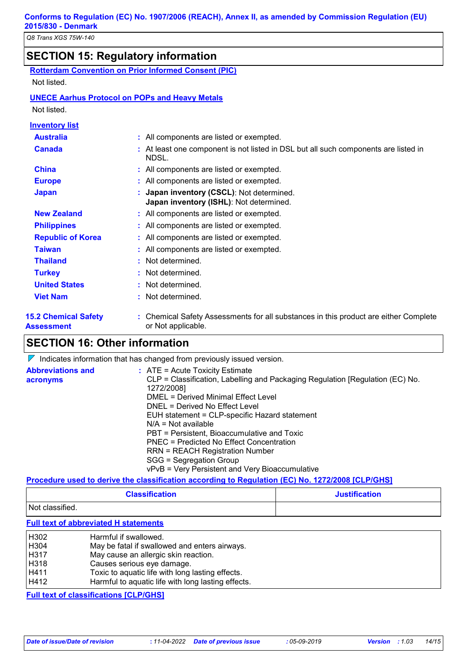# **SECTION 15: Regulatory information**

| <b>Rotterdam Convention on Prior Informed Consent (PIC)</b> |  |  |  |
|-------------------------------------------------------------|--|--|--|
|                                                             |  |  |  |

Not listed.

#### **UNECE Aarhus Protocol on POPs and Heavy Metals**

Not listed.

| <b>Inventory list</b>                            |                                                                                                            |  |
|--------------------------------------------------|------------------------------------------------------------------------------------------------------------|--|
| <b>Australia</b>                                 | : All components are listed or exempted.                                                                   |  |
| <b>Canada</b>                                    | : At least one component is not listed in DSL but all such components are listed in<br>NDSL.               |  |
| <b>China</b>                                     | : All components are listed or exempted.                                                                   |  |
| <b>Europe</b>                                    | : All components are listed or exempted.                                                                   |  |
| <b>Japan</b>                                     | : Japan inventory (CSCL): Not determined.<br>Japan inventory (ISHL): Not determined.                       |  |
| <b>New Zealand</b>                               | : All components are listed or exempted.                                                                   |  |
| <b>Philippines</b>                               | : All components are listed or exempted.                                                                   |  |
| <b>Republic of Korea</b>                         | : All components are listed or exempted.                                                                   |  |
| <b>Taiwan</b>                                    | : All components are listed or exempted.                                                                   |  |
| <b>Thailand</b>                                  | : Not determined.                                                                                          |  |
| <b>Turkey</b>                                    | : Not determined.                                                                                          |  |
| <b>United States</b>                             | : Not determined.                                                                                          |  |
| <b>Viet Nam</b>                                  | : Not determined.                                                                                          |  |
| <b>15.2 Chemical Safety</b><br><b>Assessment</b> | : Chemical Safety Assessments for all substances in this product are either Complete<br>or Not applicable. |  |

## **SECTION 16: Other information**

 $\nabla$  Indicates information that has changed from previously issued version.

| <b>Abbreviations and</b> | $:$ ATE = Acute Toxicity Estimate                                             |
|--------------------------|-------------------------------------------------------------------------------|
| acronyms                 | CLP = Classification, Labelling and Packaging Regulation [Regulation (EC) No. |
|                          | 1272/2008]                                                                    |
|                          | DMEL = Derived Minimal Effect Level                                           |
|                          | DNEL = Derived No Effect Level                                                |
|                          | EUH statement = CLP-specific Hazard statement                                 |
|                          | $N/A = Not available$                                                         |
|                          | PBT = Persistent, Bioaccumulative and Toxic                                   |
|                          | PNEC = Predicted No Effect Concentration                                      |
|                          | <b>RRN = REACH Registration Number</b>                                        |
|                          | SGG = Segregation Group                                                       |
|                          | vPvB = Very Persistent and Very Bioaccumulative                               |

#### **Procedure used to derive the classification according to Regulation (EC) No. 1272/2008 [CLP/GHS]**

| <b>Classification</b> | <b>Justification</b> |
|-----------------------|----------------------|
| Not classified.       |                      |

**Full text of abbreviated H statements**

| H302 | Harmful if swallowed.                              |
|------|----------------------------------------------------|
| H304 | May be fatal if swallowed and enters airways.      |
| H317 | May cause an allergic skin reaction.               |
| H318 | Causes serious eye damage.                         |
| H411 | Toxic to aquatic life with long lasting effects.   |
| H412 | Harmful to aquatic life with long lasting effects. |

**Full text of classifications [CLP/GHS]**